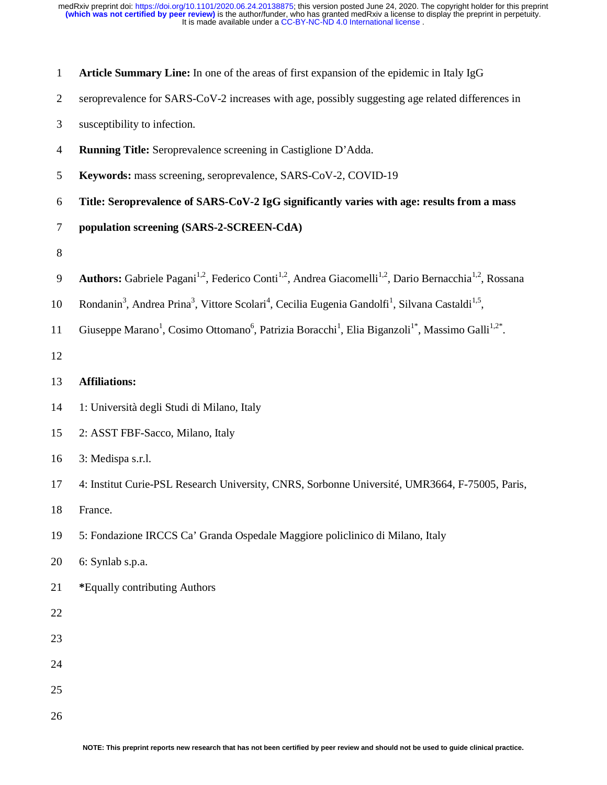| Article Summary Line: In one of the areas of first expansion of the epidemic in Italy IgG |  |
|-------------------------------------------------------------------------------------------|--|
|-------------------------------------------------------------------------------------------|--|

- 2 seroprevalence for SARS-CoV-2 increases with age, possibly suggesting age related differences in
- 3 susceptibility to infection.
- 4 **Running Title:** Seroprevalence screening in Castiglione D'Adda.
- 5 **Keywords:** mass screening, seroprevalence, SARS-CoV-2, COVID-19
- 6 **Title: Seroprevalence of SARS-CoV-2 IgG significantly varies with age: results from a mass**
- 7 **population screening (SARS-2-SCREEN-CdA)**
- 8
- 9 **Authors:** Gabriele Pagani<sup>1,2</sup>, Federico Conti<sup>1,2</sup>, Andrea Giacomelli<sup>1,2</sup>, Dario Bernacchia<sup>1,2</sup>, Rossana
- 10 Rondanin<sup>3</sup>, Andrea Prina<sup>3</sup>, Vittore Scolari<sup>4</sup>, Cecilia Eugenia Gandolfi<sup>1</sup>, Silvana Castaldi<sup>1,5</sup>,
- 11 Giuseppe Marano<sup>1</sup>, Cosimo Ottomano<sup>6</sup>, Patrizia Boracchi<sup>1</sup>, Elia Biganzoli<sup>1\*</sup>, Massimo Galli<sup>1,2\*</sup>.
- 12

# 13 **Affiliations:**

- 14 1: Università degli Studi di Milano, Italy
- 15 2: ASST FBF-Sacco, Milano, Italy
- 16 3: Medispa s.r.l.
- 17 4: Institut Curie-PSL Research University, CNRS, Sorbonne Université, UMR3664, F-75005, Paris,
- 18 France.
- 19 5: Fondazione IRCCS Ca' Granda Ospedale Maggiore policlinico di Milano, Italy
- 20 6: Synlab s.p.a.
- 21 **\***Equally contributing Authors
- 22
- 23
- 24
- 
- 25
- 26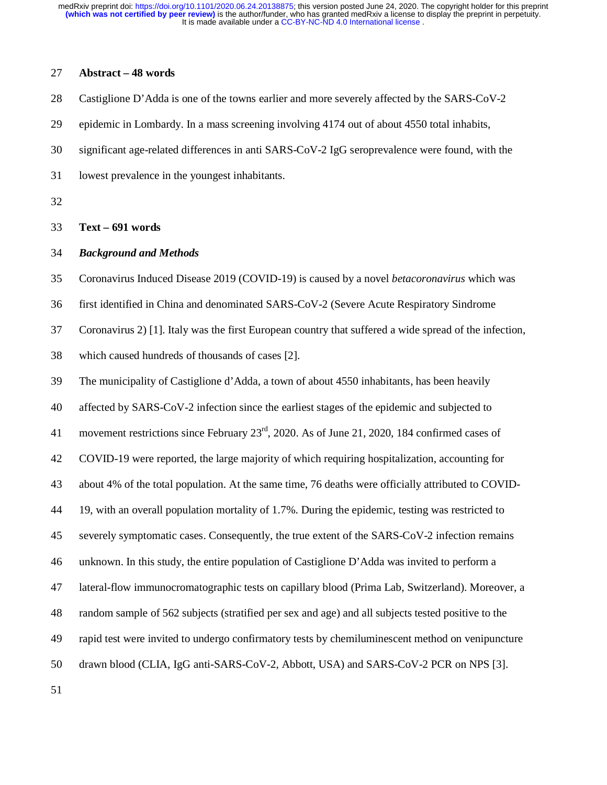## 27 **Abstract – 48 words**

- 28 Castiglione D'Adda is one of the towns earlier and more severely affected by the SARS-CoV-2
- 29 epidemic in Lombardy. In a mass screening involving 4174 out of about 4550 total inhabits,
- 30 significant age-related differences in anti SARS-CoV-2 IgG seroprevalence were found, with the
- 31 lowest prevalence in the youngest inhabitants.
- 32

#### 33 **Text – 691 words**

## 34 *Background and Methods*

35 Coronavirus Induced Disease 2019 (COVID-19) is caused by a novel *betacoronavirus* which was

36 first identified in China and denominated SARS-CoV-2 (Severe Acute Respiratory Sindrome

37 Coronavirus 2) [1]. Italy was the first European country that suffered a wide spread of the infection,

38 which caused hundreds of thousands of cases [2].

39 The municipality of Castiglione d'Adda, a town of about 4550 inhabitants, has been heavily

40 affected by SARS-CoV-2 infection since the earliest stages of the epidemic and subjected to

41 movement restrictions since February  $23<sup>rd</sup>$ , 2020. As of June 21, 2020, 184 confirmed cases of

42 COVID-19 were reported, the large majority of which requiring hospitalization, accounting for

43 about 4% of the total population. At the same time, 76 deaths were officially attributed to COVID-

44 19, with an overall population mortality of 1.7%. During the epidemic, testing was restricted to

45 severely symptomatic cases. Consequently, the true extent of the SARS-CoV-2 infection remains

46 unknown. In this study, the entire population of Castiglione D'Adda was invited to perform a

47 lateral-flow immunocromatographic tests on capillary blood (Prima Lab, Switzerland). Moreover, a

48 random sample of 562 subjects (stratified per sex and age) and all subjects tested positive to the

49 rapid test were invited to undergo confirmatory tests by chemiluminescent method on venipuncture

50 drawn blood (CLIA, IgG anti-SARS-CoV-2, Abbott, USA) and SARS-CoV-2 PCR on NPS [3].

51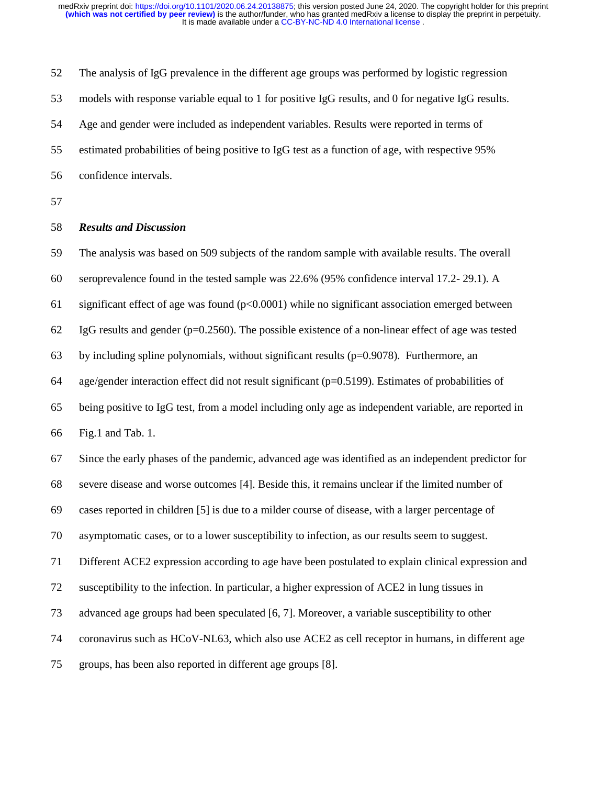52 The analysis of IgG prevalence in the different age groups was performed by logistic regression 53 models with response variable equal to 1 for positive IgG results, and 0 for negative IgG results. 54 Age and gender were included as independent variables. Results were reported in terms of 55 estimated probabilities of being positive to IgG test as a function of age, with respective 95% 56 confidence intervals.

57

### 58 *Results and Discussion*

59 The analysis was based on 509 subjects of the random sample with available results. The overall 60 seroprevalence found in the tested sample was 22.6% (95% confidence interval 17.2- 29.1). A 61 significant effect of age was found  $(p<0.0001)$  while no significant association emerged between 62 IgG results and gender ( $p=0.2560$ ). The possible existence of a non-linear effect of age was tested 63 by including spline polynomials, without significant results ( $p=0.9078$ ). Furthermore, an 64 age/gender interaction effect did not result significant (p=0.5199). Estimates of probabilities of 65 being positive to IgG test, from a model including only age as independent variable, are reported in 66 Fig.1 and Tab. 1. 67 Since the early phases of the pandemic, advanced age was identified as an independent predictor for 68 severe disease and worse outcomes [4]. Beside this, it remains unclear if the limited number of 69 cases reported in children [5] is due to a milder course of disease, with a larger percentage of 70 asymptomatic cases, or to a lower susceptibility to infection, as our results seem to suggest. 71 Different ACE2 expression according to age have been postulated to explain clinical expression and 72 susceptibility to the infection. In particular, a higher expression of ACE2 in lung tissues in 73 advanced age groups had been speculated [6, 7]. Moreover, a variable susceptibility to other 74 coronavirus such as HCoV-NL63, which also use ACE2 as cell receptor in humans, in different age

75 groups, has been also reported in different age groups [8].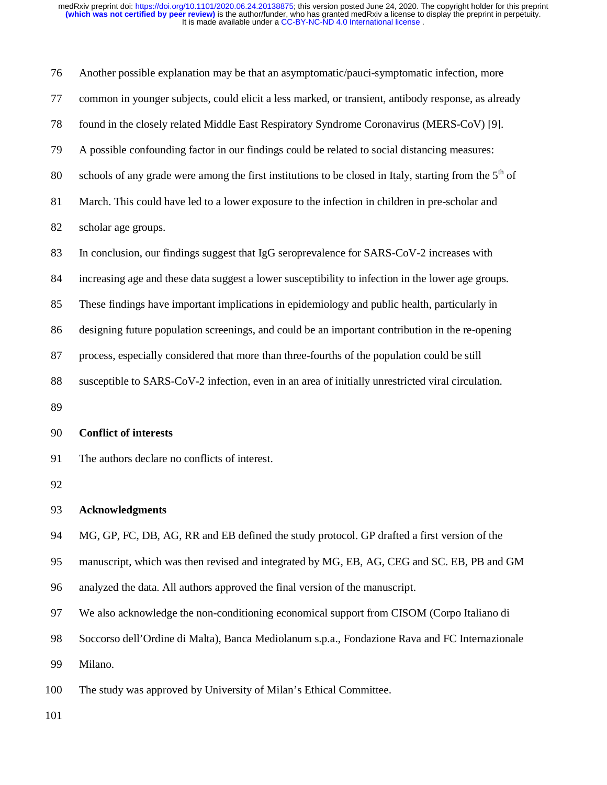| 76 | Another possible explanation may be that an asymptomatic/pauci-symptomatic infection, more                         |  |  |  |
|----|--------------------------------------------------------------------------------------------------------------------|--|--|--|
| 77 | common in younger subjects, could elicit a less marked, or transient, antibody response, as already                |  |  |  |
| 78 | found in the closely related Middle East Respiratory Syndrome Coronavirus (MERS-CoV) [9].                          |  |  |  |
| 79 | A possible confounding factor in our findings could be related to social distancing measures:                      |  |  |  |
| 80 | schools of any grade were among the first institutions to be closed in Italy, starting from the 5 <sup>th</sup> of |  |  |  |
| 81 | March. This could have led to a lower exposure to the infection in children in pre-scholar and                     |  |  |  |
| 82 | scholar age groups.                                                                                                |  |  |  |
| 83 | In conclusion, our findings suggest that IgG seroprevalence for SARS-CoV-2 increases with                          |  |  |  |
| 84 | increasing age and these data suggest a lower susceptibility to infection in the lower age groups.                 |  |  |  |
| 85 | These findings have important implications in epidemiology and public health, particularly in                      |  |  |  |
| 86 | designing future population screenings, and could be an important contribution in the re-opening                   |  |  |  |
| 87 | process, especially considered that more than three-fourths of the population could be still                       |  |  |  |
| 88 | susceptible to SARS-CoV-2 infection, even in an area of initially unrestricted viral circulation.                  |  |  |  |
| 89 |                                                                                                                    |  |  |  |
| 90 | <b>Conflict of interests</b>                                                                                       |  |  |  |
| 91 | The authors declare no conflicts of interest.                                                                      |  |  |  |
| 92 |                                                                                                                    |  |  |  |
| 93 | <b>Acknowledgments</b>                                                                                             |  |  |  |
| 94 | MG, GP, FC, DB, AG, RR and EB defined the study protocol. GP drafted a first version of the                        |  |  |  |
| 95 | manuscript, which was then revised and integrated by MG, EB, AG, CEG and SC. EB, PB and GM                         |  |  |  |
| 96 | analyzed the data. All authors approved the final version of the manuscript.                                       |  |  |  |
| 97 | We also acknowledge the non-conditioning economical support from CISOM (Corpo Italiano di                          |  |  |  |
| 98 | Soccorso dell'Ordine di Malta), Banca Mediolanum s.p.a., Fondazione Rava and FC Internazionale                     |  |  |  |
| 99 | Milano.                                                                                                            |  |  |  |
|    |                                                                                                                    |  |  |  |

100 The study was approved by University of Milan's Ethical Committee.

101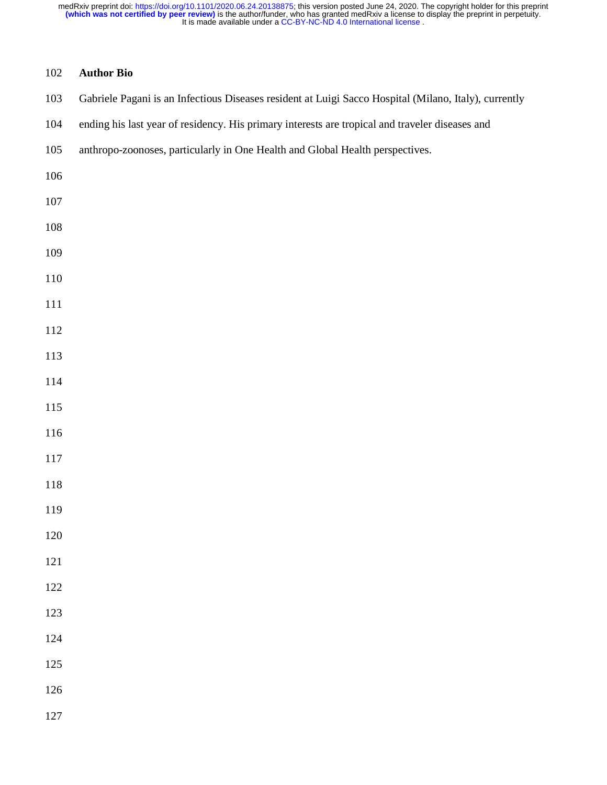# **Author Bio**

|  | 103 Gabriele Pagani is an Infectious Diseases resident at Luigi Sacco Hospital (Milano, Italy), currently |
|--|-----------------------------------------------------------------------------------------------------------|
|  |                                                                                                           |

- 104 ending his last year of residency. His primary interests are tropical and traveler diseases and
- 105 anthropo-zoonoses, particularly in One Health and Global Health perspectives.
- 
- 
- 
- 
- 
- 
- 
- 
- 
- 
- 
- 
- 
- 
- 
- 
- 
- 
- 
- 
- 
- 
- 
- 
-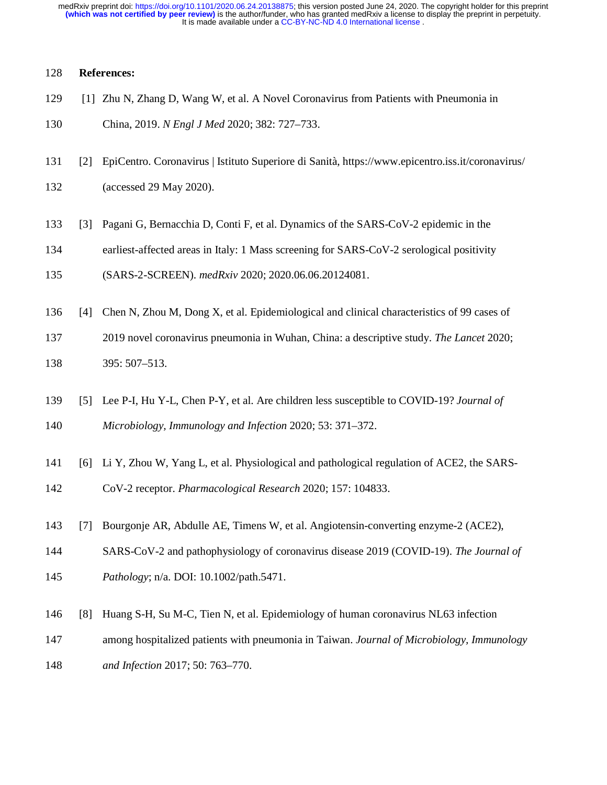It is made available under a [CC-BY-NC-ND 4.0 International license](http://creativecommons.org/licenses/by-nc-nd/4.0/) . **(which was not certified by peer review)** is the author/funder, who has granted medRxiv a license to display the preprint in perpetuity. medRxiv preprint doi: [https://doi.org/10.1101/2020.06.24.20138875;](https://doi.org/10.1101/2020.06.24.20138875) this version posted June 24, 2020. The copyright holder for this preprint

## 128 **References:**

- 129 [1] Zhu N, Zhang D, Wang W, et al. A Novel Coronavirus from Patients with Pneumonia in
- 130 China, 2019. *N Engl J Med* 2020; 382: 727–733.
- 131 [2] EpiCentro. Coronavirus | Istituto Superiore di Sanità, https://www.epicentro.iss.it/coronavirus/
- 132 (accessed 29 May 2020).
- 133 [3] Pagani G, Bernacchia D, Conti F, et al. Dynamics of the SARS-CoV-2 epidemic in the
- 134 earliest-affected areas in Italy: 1 Mass screening for SARS-CoV-2 serological positivity
- 135 (SARS-2-SCREEN). *medRxiv* 2020; 2020.06.06.20124081.
- 136 [4] Chen N, Zhou M, Dong X, et al. Epidemiological and clinical characteristics of 99 cases of
- 137 2019 novel coronavirus pneumonia in Wuhan, China: a descriptive study. *The Lancet* 2020; 138 395: 507–513.
- 139 [5] Lee P-I, Hu Y-L, Chen P-Y, et al. Are children less susceptible to COVID-19? *Journal of*  140 *Microbiology, Immunology and Infection* 2020; 53: 371–372.
- 141 [6] Li Y, Zhou W, Yang L, et al. Physiological and pathological regulation of ACE2, the SARS-
- 142 CoV-2 receptor. *Pharmacological Research* 2020; 157: 104833.
- 143 [7] Bourgonje AR, Abdulle AE, Timens W, et al. Angiotensin-converting enzyme-2 (ACE2),
- 144 SARS-CoV-2 and pathophysiology of coronavirus disease 2019 (COVID-19). *The Journal of*
- 145 *Pathology*; n/a. DOI: 10.1002/path.5471.
- 146 [8] Huang S-H, Su M-C, Tien N, et al. Epidemiology of human coronavirus NL63 infection
- 147 among hospitalized patients with pneumonia in Taiwan. *Journal of Microbiology, Immunology*
- 148 *and Infection* 2017; 50: 763–770.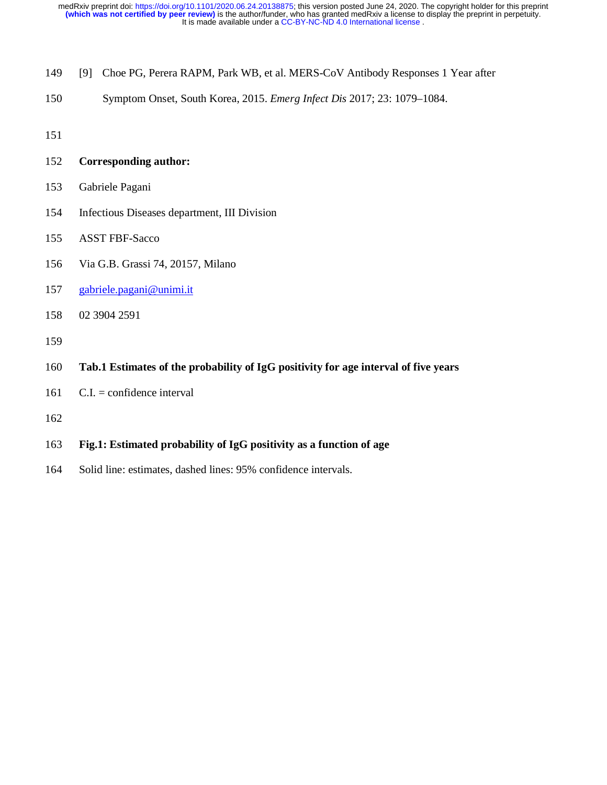- 149 [9] Choe PG, Perera RAPM, Park WB, et al. MERS-CoV Antibody Responses 1 Year after
- 150 Symptom Onset, South Korea, 2015. *Emerg Infect Dis* 2017; 23: 1079–1084.
- 151

152 **Corresponding author:** 

- 153 Gabriele Pagani
- 154 Infectious Diseases department, III Division
- 155 ASST FBF-Sacco
- 156 Via G.B. Grassi 74, 20157, Milano
- 157 gabriele.pagani@unimi.it
- 158 02 3904 2591
- 159
- 160 **Tab.1 Estimates of the probability of IgG positivity for age interval of five years**
- 161 C.I. = confidence interval
- 162
- 163 **Fig.1: Estimated probability of IgG positivity as a function of age**
- 164 Solid line: estimates, dashed lines: 95% confidence intervals.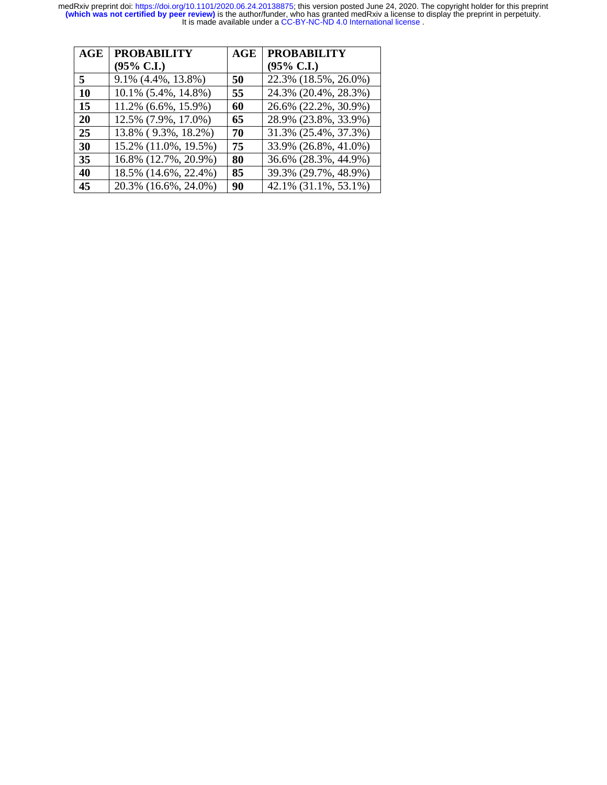| AGE       | <b>PROBABILITY</b>    | <b>AGE</b> | <b>PROBABILITY</b>    |
|-----------|-----------------------|------------|-----------------------|
|           | $(95\% \text{ C.I.})$ |            | $(95\% \text{ C.I.})$ |
| 5         | 9.1% (4.4%, 13.8%)    | 50         | 22.3% (18.5%, 26.0%)  |
| <b>10</b> | 10.1% (5.4%, 14.8%)   | 55         | 24.3% (20.4%, 28.3%)  |
| 15        | 11.2% (6.6%, 15.9%)   | 60         | 26.6% (22.2%, 30.9%)  |
| 20        | 12.5% (7.9%, 17.0%)   | 65         | 28.9% (23.8%, 33.9%)  |
| 25        | 13.8% (9.3%, 18.2%)   | 70         | 31.3% (25.4%, 37.3%)  |
| 30        | 15.2% (11.0%, 19.5%)  | 75         | 33.9% (26.8%, 41.0%)  |
| 35        | 16.8% (12.7%, 20.9%)  | 80         | 36.6% (28.3%, 44.9%)  |
| 40        | 18.5% (14.6%, 22.4%)  | 85         | 39.3% (29.7%, 48.9%)  |
| 45        | 20.3% (16.6%, 24.0%)  | 90         | 42.1% (31.1%, 53.1%)  |